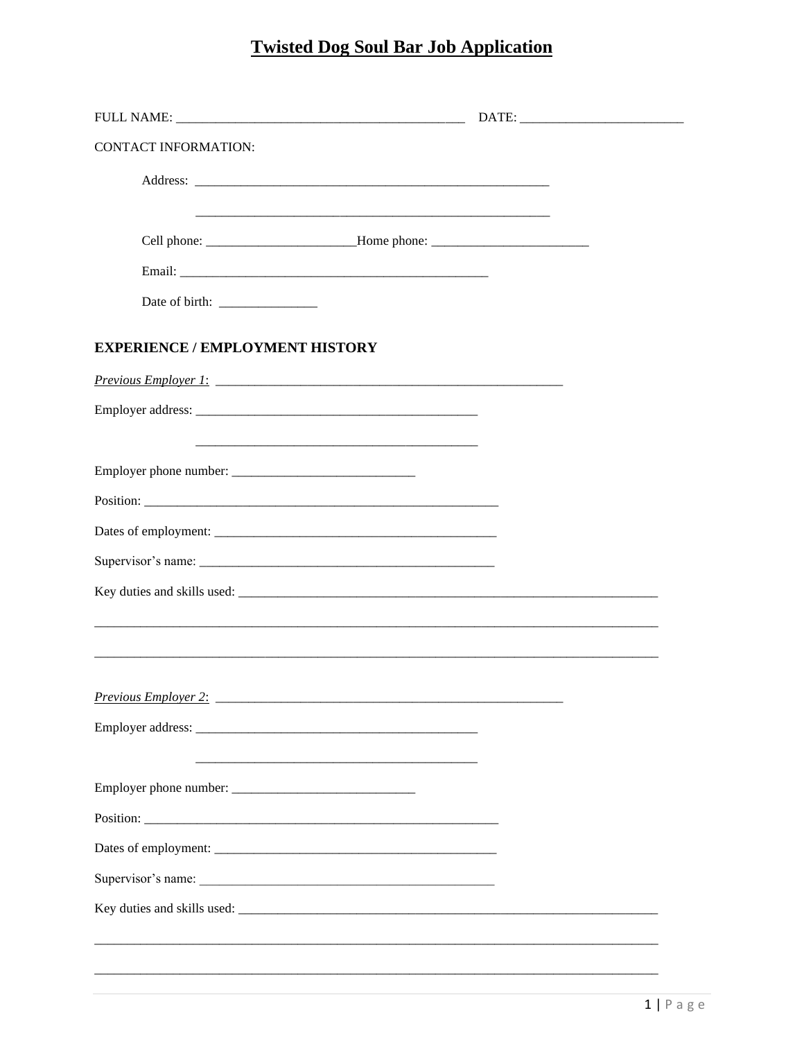## **Twisted Dog Soul Bar Job Application**

| <b>CONTACT INFORMATION:</b>                                                       |  |
|-----------------------------------------------------------------------------------|--|
|                                                                                   |  |
|                                                                                   |  |
| Cell phone: ______________________________Home phone: ___________________________ |  |
|                                                                                   |  |
|                                                                                   |  |
| <b>EXPERIENCE / EMPLOYMENT HISTORY</b>                                            |  |
|                                                                                   |  |
|                                                                                   |  |
|                                                                                   |  |
|                                                                                   |  |
|                                                                                   |  |
| Supervisor's name:                                                                |  |
|                                                                                   |  |
|                                                                                   |  |
|                                                                                   |  |
|                                                                                   |  |
| Employer phone number:                                                            |  |
|                                                                                   |  |
|                                                                                   |  |
| Supervisor's name:                                                                |  |
|                                                                                   |  |
|                                                                                   |  |
|                                                                                   |  |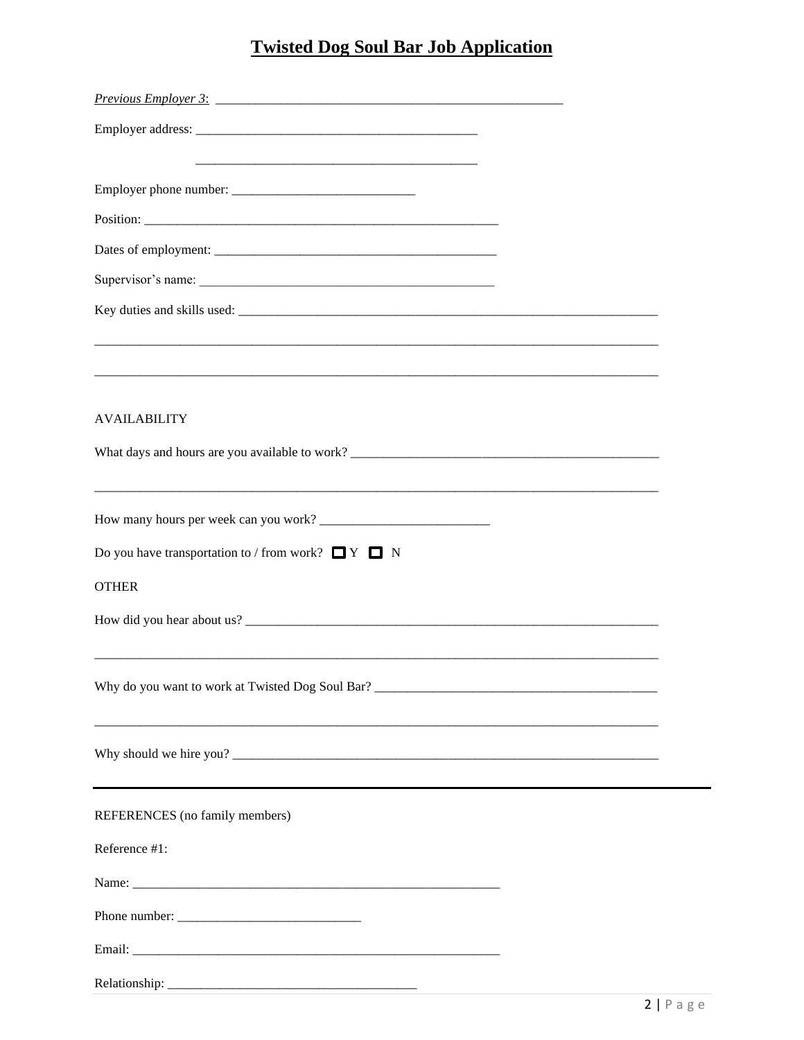## **Twisted Dog Soul Bar Job Application**

| Supervisor's name:                                         |
|------------------------------------------------------------|
|                                                            |
|                                                            |
|                                                            |
|                                                            |
| <b>AVAILABILITY</b>                                        |
|                                                            |
|                                                            |
|                                                            |
| Do you have transportation to / from work? $\Box Y \Box N$ |
| <b>OTHER</b>                                               |
|                                                            |
|                                                            |
|                                                            |
|                                                            |
|                                                            |
| Why should we hire you?                                    |
| REFERENCES (no family members)                             |
| Reference #1:                                              |
|                                                            |
|                                                            |
|                                                            |
|                                                            |
|                                                            |